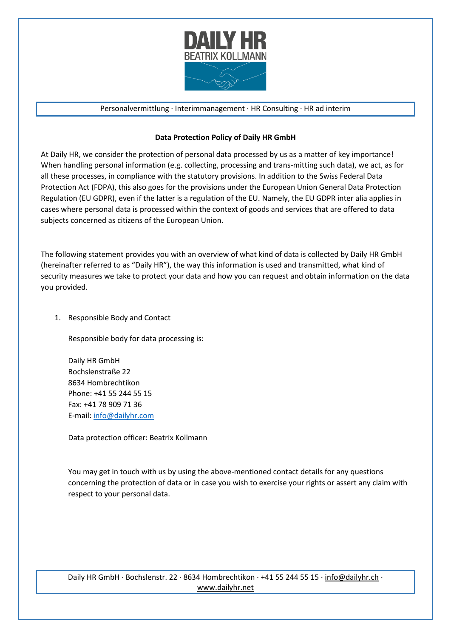

#### Personalvermittlung ∙ Interimmanagement ∙ HR Consulting ∙ HR ad interim

#### **Data Protection Policy of Daily HR GmbH**

At Daily HR, we consider the protection of personal data processed by us as a matter of key importance! When handling personal information (e.g. collecting, processing and trans-mitting such data), we act, as for all these processes, in compliance with the statutory provisions. In addition to the Swiss Federal Data Protection Act (FDPA), this also goes for the provisions under the European Union General Data Protection Regulation (EU GDPR), even if the latter is a regulation of the EU. Namely, the EU GDPR inter alia applies in cases where personal data is processed within the context of goods and services that are offered to data subjects concerned as citizens of the European Union.

The following statement provides you with an overview of what kind of data is collected by Daily HR GmbH (hereinafter referred to as "Daily HR"), the way this information is used and transmitted, what kind of security measures we take to protect your data and how you can request and obtain information on the data you provided.

1. Responsible Body and Contact

Responsible body for data processing is:

Daily HR GmbH Bochslenstraße 22 8634 Hombrechtikon Phone: +41 55 244 55 15 Fax: +41 78 909 71 36 E-mail: [info@dailyhr.com](mailto:info@dailyhr.com)

Data protection officer: Beatrix Kollmann

You may get in touch with us by using the above-mentioned contact details for any questions concerning the protection of data or in case you wish to exercise your rights or assert any claim with respect to your personal data.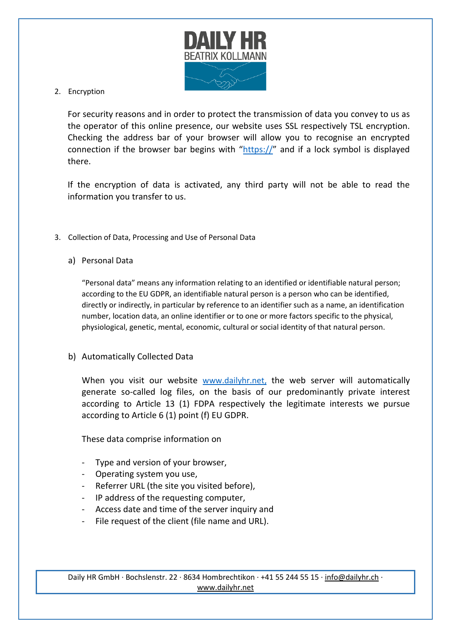

2. Encryption

For security reasons and in order to protect the transmission of data you convey to us as the operator of this online presence, our website uses SSL respectively TSL encryption. Checking the address bar of your browser will allow you to recognise an encrypted connection if the browser bar begins with "https://" and if a lock symbol is displayed there.

If the encryption of data is activated, any third party will not be able to read the information you transfer to us.

- 3. Collection of Data, Processing and Use of Personal Data
	- a) Personal Data

"Personal data" means any information relating to an identified or identifiable natural person; according to the EU GDPR, an identifiable natural person is a person who can be identified, directly or indirectly, in particular by reference to an identifier such as a name, an identification number, location data, an online identifier or to one or more factors specific to the physical, physiological, genetic, mental, economic, cultural or social identity of that natural person.

## b) Automatically Collected Data

When you visit our website [www.dailyhr.net,](http://www.dailyhr.net/) the web server will automatically generate so-called log files, on the basis of our predominantly private interest according to Article 13 (1) FDPA respectively the legitimate interests we pursue according to Article 6 (1) point (f) EU GDPR.

These data comprise information on

- Type and version of your browser,
- Operating system you use,
- Referrer URL (the site you visited before),
- IP address of the requesting computer,
- Access date and time of the server inquiry and
- File request of the client (file name and URL).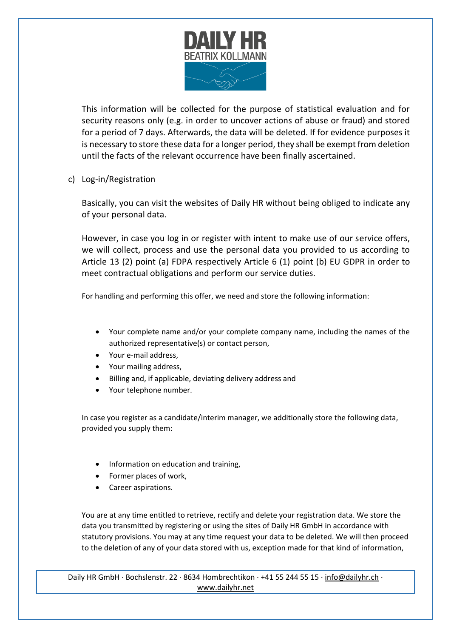

This information will be collected for the purpose of statistical evaluation and for security reasons only (e.g. in order to uncover actions of abuse or fraud) and stored for a period of 7 days. Afterwards, the data will be deleted. If for evidence purposes it is necessary to store these data for a longer period, they shall be exempt from deletion until the facts of the relevant occurrence have been finally ascertained.

c) Log-in/Registration

Basically, you can visit the websites of Daily HR without being obliged to indicate any of your personal data.

However, in case you log in or register with intent to make use of our service offers, we will collect, process and use the personal data you provided to us according to Article 13 (2) point (a) FDPA respectively Article 6 (1) point (b) EU GDPR in order to meet contractual obligations and perform our service duties.

For handling and performing this offer, we need and store the following information:

- Your complete name and/or your complete company name, including the names of the authorized representative(s) or contact person,
- Your e-mail address,
- Your mailing address,
- Billing and, if applicable, deviating delivery address and
- Your telephone number.

In case you register as a candidate/interim manager, we additionally store the following data, provided you supply them:

- Information on education and training,
- Former places of work,
- Career aspirations.

You are at any time entitled to retrieve, rectify and delete your registration data. We store the data you transmitted by registering or using the sites of Daily HR GmbH in accordance with statutory provisions. You may at any time request your data to be deleted. We will then proceed to the deletion of any of your data stored with us, exception made for that kind of information,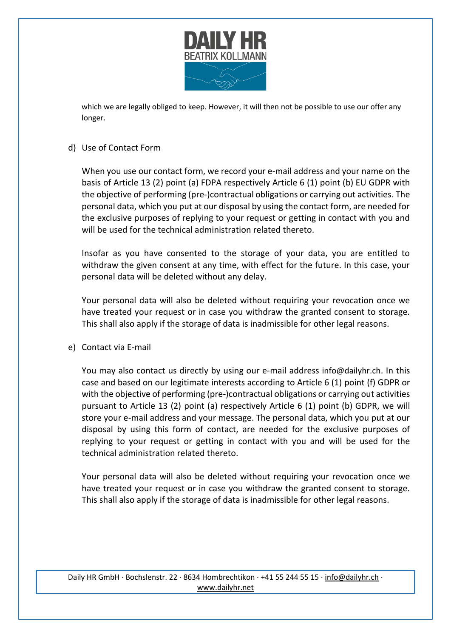

which we are legally obliged to keep. However, it will then not be possible to use our offer any longer.

#### d) Use of Contact Form

When you use our contact form, we record your e-mail address and your name on the basis of Article 13 (2) point (a) FDPA respectively Article 6 (1) point (b) EU GDPR with the objective of performing (pre-)contractual obligations or carrying out activities. The personal data, which you put at our disposal by using the contact form, are needed for the exclusive purposes of replying to your request or getting in contact with you and will be used for the technical administration related thereto.

Insofar as you have consented to the storage of your data, you are entitled to withdraw the given consent at any time, with effect for the future. In this case, your personal data will be deleted without any delay.

Your personal data will also be deleted without requiring your revocation once we have treated your request or in case you withdraw the granted consent to storage. This shall also apply if the storage of data is inadmissible for other legal reasons.

e) Contact via E-mail

You may also contact us directly by using our e-mail address [info@dailyhr.ch](mailto:info@dailyhr.ch). In this case and based on our legitimate interests according to Article 6 (1) point (f) GDPR or with the objective of performing (pre-)contractual obligations or carrying out activities pursuant to Article 13 (2) point (a) respectively Article 6 (1) point (b) GDPR, we will store your e-mail address and your message. The personal data, which you put at our disposal by using this form of contact, are needed for the exclusive purposes of replying to your request or getting in contact with you and will be used for the technical administration related thereto.

Your personal data will also be deleted without requiring your revocation once we have treated your request or in case you withdraw the granted consent to storage. This shall also apply if the storage of data is inadmissible for other legal reasons.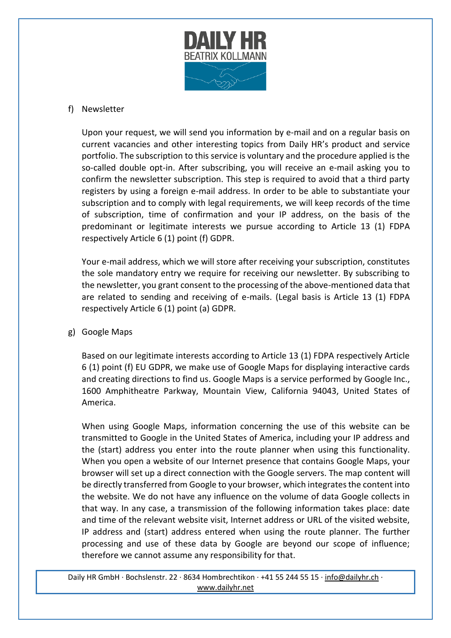

# f) Newsletter

Upon your request, we will send you information by e-mail and on a regular basis on current vacancies and other interesting topics from Daily HR's product and service portfolio. The subscription to this service is voluntary and the procedure applied is the so-called double opt-in. After subscribing, you will receive an e-mail asking you to confirm the newsletter subscription. This step is required to avoid that a third party registers by using a foreign e-mail address. In order to be able to substantiate your subscription and to comply with legal requirements, we will keep records of the time of subscription, time of confirmation and your IP address, on the basis of the predominant or legitimate interests we pursue according to Article 13 (1) FDPA respectively Article 6 (1) point (f) GDPR.

Your e-mail address, which we will store after receiving your subscription, constitutes the sole mandatory entry we require for receiving our newsletter. By subscribing to the newsletter, you grant consent to the processing of the above-mentioned data that are related to sending and receiving of e-mails. (Legal basis is Article 13 (1) FDPA respectively Article 6 (1) point (a) GDPR.

g) Google Maps

Based on our legitimate interests according to Article 13 (1) FDPA respectively Article 6 (1) point (f) EU GDPR, we make use of Google Maps for displaying interactive cards and creating directions to find us. Google Maps is a service performed by Google Inc., 1600 Amphitheatre Parkway, Mountain View, California 94043, United States of America.

When using Google Maps, information concerning the use of this website can be transmitted to Google in the United States of America, including your IP address and the (start) address you enter into the route planner when using this functionality. When you open a website of our Internet presence that contains Google Maps, your browser will set up a direct connection with the Google servers. The map content will be directly transferred from Google to your browser, which integrates the content into the website. We do not have any influence on the volume of data Google collects in that way. In any case, a transmission of the following information takes place: date and time of the relevant website visit, Internet address or URL of the visited website, IP address and (start) address entered when using the route planner. The further processing and use of these data by Google are beyond our scope of influence; therefore we cannot assume any responsibility for that.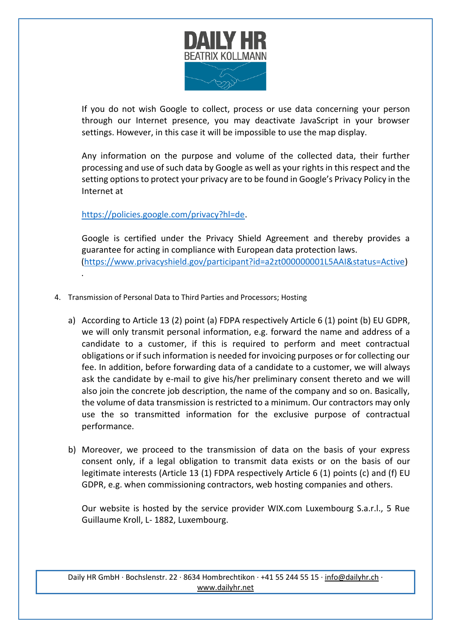

If you do not wish Google to collect, process or use data concerning your person through our Internet presence, you may deactivate JavaScript in your browser settings. However, in this case it will be impossible to use the map display.

Any information on the purpose and volume of the collected data, their further processing and use of such data by Google as well as your rights in this respect and the setting options to protect your privacy are to be found in Google's Privacy Policy in the Internet at

# [https://policies.google.com/privacy?hl=de.](https://policies.google.com/privacy?hl=de)

.

Google is certified under the Privacy Shield Agreement and thereby provides a guarantee for acting in compliance with European data protection laws. [\(https://www.privacyshield.gov/participant?id=a2zt000000001L5AAI&status=Active\)](https://www.privacyshield.gov/participant?id=a2zt000000001L5AAI&status=Active)

- 4. Transmission of Personal Data to Third Parties and Processors; Hosting
	- a) According to Article 13 (2) point (a) FDPA respectively Article 6 (1) point (b) EU GDPR, we will only transmit personal information, e.g. forward the name and address of a candidate to a customer, if this is required to perform and meet contractual obligations or if such information is needed for invoicing purposes or for collecting our fee. In addition, before forwarding data of a candidate to a customer, we will always ask the candidate by e-mail to give his/her preliminary consent thereto and we will also join the concrete job description, the name of the company and so on. Basically, the volume of data transmission is restricted to a minimum. Our contractors may only use the so transmitted information for the exclusive purpose of contractual performance.
	- b) Moreover, we proceed to the transmission of data on the basis of your express consent only, if a legal obligation to transmit data exists or on the basis of our legitimate interests (Article 13 (1) FDPA respectively Article 6 (1) points (c) and (f) EU GDPR, e.g. when commissioning contractors, web hosting companies and others.

Our website is hosted by the service provider WIX.com Luxembourg S.a.r.l., 5 Rue Guillaume Kroll, L- 1882, Luxembourg.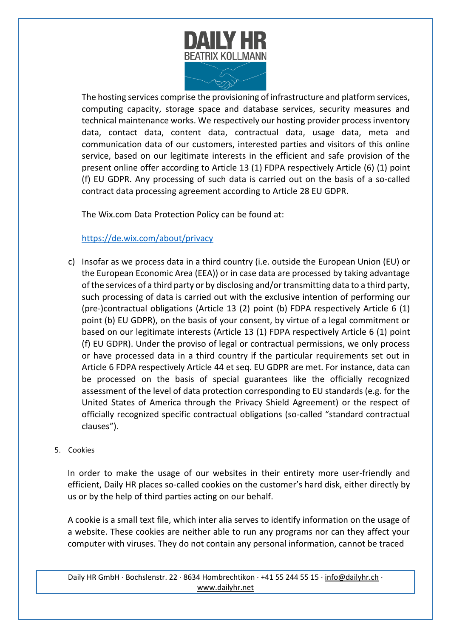

The hosting services comprise the provisioning of infrastructure and platform services, computing capacity, storage space and database services, security measures and technical maintenance works. We respectively our hosting provider process inventory data, contact data, content data, contractual data, usage data, meta and communication data of our customers, interested parties and visitors of this online service, based on our legitimate interests in the efficient and safe provision of the present online offer according to Article 13 (1) FDPA respectively Article [\(6\)](https://dejure.org/gesetze/DSGVO/6.html) (1) point (f) EU GDPR. Any processing of such data is carried out on the basis of a so-called contract data processing agreement according to Article 28 EU GDPR.

The Wix.com Data Protection Policy can be found at:

# <https://de.wix.com/about/privacy>

c) Insofar as we process data in a third country (i.e. outside the European Union (EU) or the European Economic Area (EEA)) or in case data are processed by taking advantage of the services of a third party or by disclosing and/or transmitting data to a third party, such processing of data is carried out with the exclusive intention of performing our (pre-)contractual obligations (Article 13 (2) point (b) FDPA respectively Article 6 (1) point (b) EU GDPR), on the basis of your consent, by virtue of a legal commitment or based on our legitimate interests (Article 13 (1) FDPA respectively Article 6 (1) point (f) EU GDPR). Under the proviso of legal or contractual permissions, we only process or have processed data in a third country if the particular requirements set out in Article 6 FDPA respectively Article [44](https://dejure.org/gesetze/DSGVO/44.html) et seq. EU GDPR are met. For instance, data can be processed on the basis of special guarantees like the officially recognized assessment of the level of data protection corresponding to EU standards (e.g. for the United States of America through the Privacy Shield Agreement) or the respect of officially recognized specific contractual obligations (so-called "standard contractual clauses").

## 5. Cookies

In order to make the usage of our websites in their entirety more user-friendly and efficient, Daily HR places so-called cookies on the customer's hard disk, either directly by us or by the help of third parties acting on our behalf.

A cookie is a small text file, which inter alia serves to identify information on the usage of a website. These cookies are neither able to run any programs nor can they affect your computer with viruses. They do not contain any personal information, cannot be traced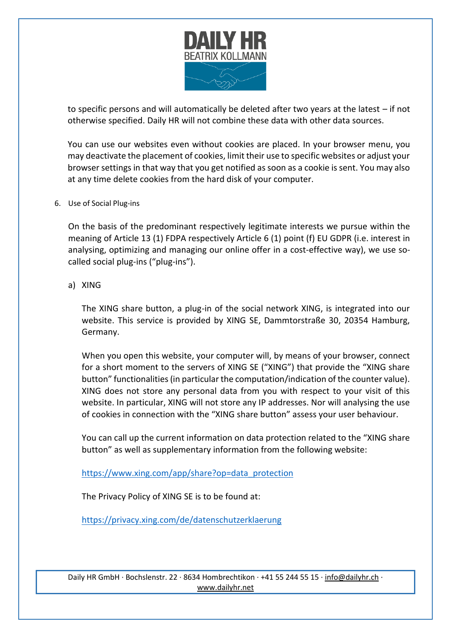

to specific persons and will automatically be deleted after two years at the latest – if not otherwise specified. Daily HR will not combine these data with other data sources.

You can use our websites even without cookies are placed. In your browser menu, you may deactivate the placement of cookies, limit their use to specific websites or adjust your browser settings in that way that you get notified as soon as a cookie is sent. You may also at any time delete cookies from the hard disk of your computer.

#### 6. Use of Social Plug-ins

On the basis of the predominant respectively legitimate interests we pursue within the meaning of Article 13 (1) FDPA respectively Article 6 (1) point (f) EU GDPR (i.e. interest in analysing, optimizing and managing our online offer in a cost-effective way), we use socalled social plug-ins ("plug-ins").

## a) XING

The XING share button, a plug-in of the social network XING, is integrated into our website. This service is provided by XING SE, Dammtorstraße 30, 20354 Hamburg, Germany.

When you open this website, your computer will, by means of your browser, connect for a short moment to the servers of XING SE ("XING") that provide the "XING share button" functionalities (in particular the computation/indication of the counter value). XING does not store any personal data from you with respect to your visit of this website. In particular, XING will not store any IP addresses. Nor will analysing the use of cookies in connection with the "XING share button" assess your user behaviour.

You can call up the current information on data protection related to the "XING share button" as well as supplementary information from the following website:

[https://www.xing.com/app/share?op=data\\_protection](https://www.xing.com/app/share?op=data_protection)

The Privacy Policy of XING SE is to be found at:

<https://privacy.xing.com/de/datenschutzerklaerung>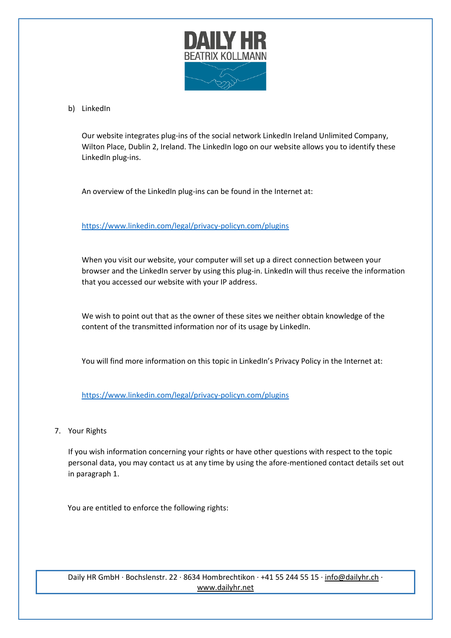

#### b) LinkedIn

Our website integrates plug-ins of the social network LinkedIn Ireland Unlimited Company, Wilton Place, Dublin 2, Ireland. The LinkedIn logo on our website allows you to identify these LinkedIn plug-ins.

An overview of the LinkedIn plug-ins can be found in the Internet at:

<https://www.linkedin.com/legal/privacy-policyn.com/plugins>

When you visit our website, your computer will set up a direct connection between your browser and the LinkedIn server by using this plug-in. LinkedIn will thus receive the information that you accessed our website with your IP address.

We wish to point out that as the owner of these sites we neither obtain knowledge of the content of the transmitted information nor of its usage by LinkedIn.

You will find more information on this topic in LinkedIn's Privacy Policy in the Internet at:

<https://www.linkedin.com/legal/privacy-policyn.com/plugins>

7. Your Rights

If you wish information concerning your rights or have other questions with respect to the topic personal data, you may contact us at any time by using the afore-mentioned contact details set out in paragraph 1.

You are entitled to enforce the following rights: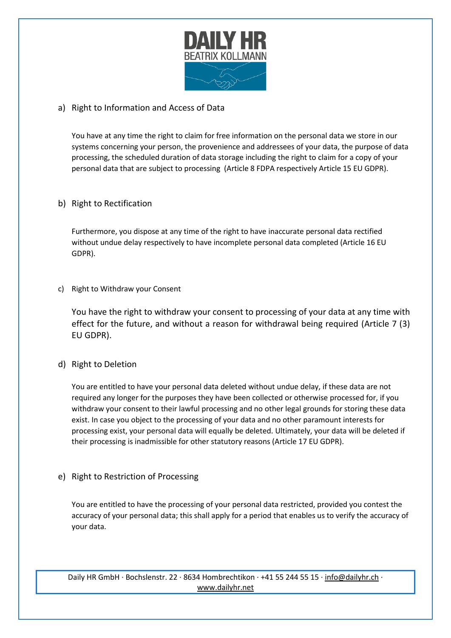

# a) Right to Information and Access of Data

You have at any time the right to claim for free information on the personal data we store in our systems concerning your person, the provenience and addressees of your data, the purpose of data processing, the scheduled duration of data storage including the right to claim for a copy of your personal data that are subject to processing (Article 8 FDPA respectively Article 15 EU GDPR).

## b) Right to Rectification

Furthermore, you dispose at any time of the right to have inaccurate personal data rectified without undue delay respectively to have incomplete personal data completed (Article 16 EU GDPR).

c) Right to Withdraw your Consent

You have the right to withdraw your consent to processing of your data at any time with effect for the future, and without a reason for withdrawal being required (Article 7 (3) EU GDPR).

## d) Right to Deletion

You are entitled to have your personal data deleted without undue delay, if these data are not required any longer for the purposes they have been collected or otherwise processed for, if you withdraw your consent to their lawful processing and no other legal grounds for storing these data exist. In case you object to the processing of your data and no other paramount interests for processing exist, your personal data will equally be deleted. Ultimately, your data will be deleted if their processing is inadmissible for other statutory reasons (Article 17 EU GDPR).

e) Right to Restriction of Processing

You are entitled to have the processing of your personal data restricted, provided you contest the accuracy of your personal data; this shall apply for a period that enables us to verify the accuracy of your data.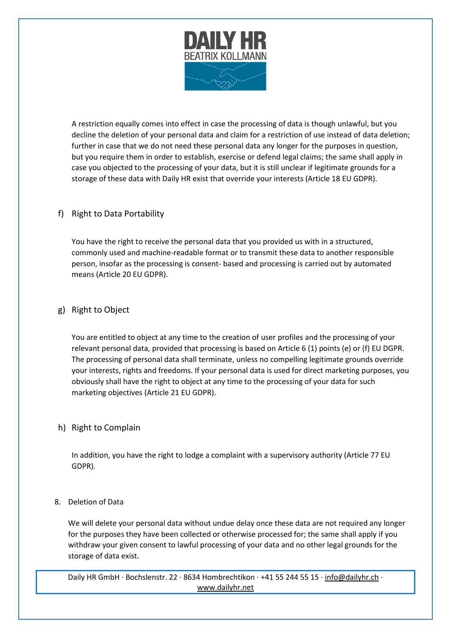

A restriction equally comes into effect in case the processing of data is though unlawful, but you decline the deletion of your personal data and claim for a restriction of use instead of data deletion; further in case that we do not need these personal data any longer for the purposes in question, but you require them in order to establish, exercise or defend legal claims; the same shall apply in case you objected to the processing of your data, but it is still unclear if legitimate grounds for a storage of these data with Daily HR exist that override your interests (Article 18 EU GDPR).

# f) Right to Data Portability

You have the right to receive the personal data that you provided us with in a structured, commonly used and machine-readable format or to transmit these data to another responsible person, insofar as the processing is consent- based and processing is carried out by automated means (Article 20 EU GDPR).

## g) Right to Object

You are entitled to object at any time to the creation of user profiles and the processing of your relevant personal data, provided that processing is based on Article 6 (1) points (e) or (f) EU DGPR. The processing of personal data shall terminate, unless no compelling legitimate grounds override your interests, rights and freedoms. If your personal data is used for direct marketing purposes, you obviously shall have the right to object at any time to the processing of your data for such marketing objectives (Article 21 EU GDPR).

## h) Right to Complain

In addition, you have the right to lodge a complaint with a supervisory authority (Article 77 EU GDPR).

## 8. Deletion of Data

We will delete your personal data without undue delay once these data are not required any longer for the purposes they have been collected or otherwise processed for; the same shall apply if you withdraw your given consent to lawful processing of your data and no other legal grounds for the storage of data exist.